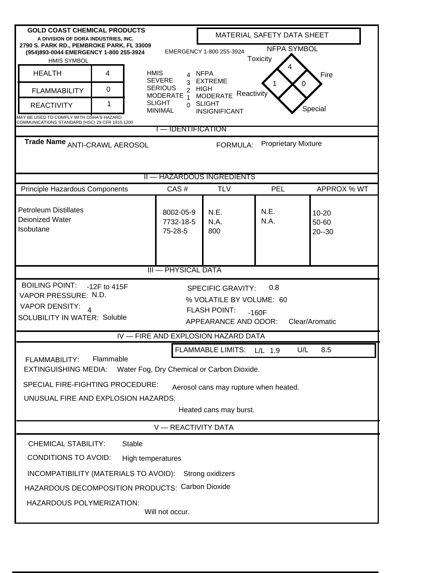| <b>GOLD COAST CHEMICAL PRODUCTS</b><br>A DIVISION OF DORA INDUSTRIES, INC.<br>2790 S. PARK RD., PEMBROKE PARK, FL 33009 |   |                                                                                 |                                             | <b>MATERIAL SAFETY DATA SHEET</b> |                                       |                    |  |  |
|-------------------------------------------------------------------------------------------------------------------------|---|---------------------------------------------------------------------------------|---------------------------------------------|-----------------------------------|---------------------------------------|--------------------|--|--|
| (954)893-0044 EMERGENCY 1-800 255-3924<br><b>HMIS SYMBOL</b>                                                            |   |                                                                                 |                                             | EMERGENCY 1-800 255-3924          | <b>NFPA SYMBOL</b><br><b>Toxicity</b> |                    |  |  |
| <b>HEALTH</b>                                                                                                           | 4 | <b>HMIS</b><br>NFPA<br>Fire<br>4<br><b>SEVERE</b><br><b>EXTREME</b><br>3        |                                             |                                   |                                       |                    |  |  |
| <b>FLAMMABILITY</b>                                                                                                     | 0 | 0<br><b>SERIOUS</b><br>2 HIGH<br>MODERATE Reactivity<br>MODERATE $\overline{1}$ |                                             |                                   |                                       |                    |  |  |
| <b>REACTIVITY</b>                                                                                                       |   | <b>SLIGHT</b><br><b>MINIMAL</b>                                                 | 0 SLIGHT<br>Special<br><b>INSIGNIFICANT</b> |                                   |                                       |                    |  |  |
| MAY BE USED TO COMPLY WITH OSHA'S HAZARD<br>COMMUNICATIONS STANDARD (HSC) 29 CFR 1910.1200<br><u>– IDENTIFICATION</u>   |   |                                                                                 |                                             |                                   |                                       |                    |  |  |
| Trade Name ANTI-CRAWL AEROSOL<br><b>Proprietary Mixture</b><br><b>FORMULA:</b>                                          |   |                                                                                 |                                             |                                   |                                       |                    |  |  |
|                                                                                                                         |   |                                                                                 |                                             |                                   |                                       |                    |  |  |
| <u>II — HAZARDOUS INGREDIENTS</u>                                                                                       |   |                                                                                 |                                             |                                   |                                       |                    |  |  |
| Principle Hazardous Components                                                                                          |   |                                                                                 | CAS#                                        | <b>TLV</b>                        | <b>PEL</b>                            | APPROX % WT        |  |  |
|                                                                                                                         |   |                                                                                 |                                             |                                   |                                       |                    |  |  |
| <b>Petroleum Distillates</b>                                                                                            |   |                                                                                 | 8002-05-9                                   | N.E.                              | N.E.                                  | $10 - 20$          |  |  |
| Deionized Water<br>Isobutane                                                                                            |   |                                                                                 | 7732-18-5<br>75-28-5                        | N.A.<br>800                       | N.A.                                  | 50-60<br>$20 - 30$ |  |  |
|                                                                                                                         |   |                                                                                 |                                             |                                   |                                       |                    |  |  |
|                                                                                                                         |   |                                                                                 |                                             |                                   |                                       |                    |  |  |
| <b>III - PHYSICAL DATA</b>                                                                                              |   |                                                                                 |                                             |                                   |                                       |                    |  |  |
| <b>BOILING POINT:</b><br>$-12F$ to $415F$<br>0.8<br><b>SPECIFIC GRAVITY:</b>                                            |   |                                                                                 |                                             |                                   |                                       |                    |  |  |
| VAPOR PRESSURE: N.D.<br>% VOLATILE BY VOLUME: 60<br><b>VAPOR DENSITY:</b>                                               |   |                                                                                 |                                             |                                   |                                       |                    |  |  |
| SOLUBILITY IN WATER: Soluble                                                                                            |   | <b>FLASH POINT:</b><br>$-160F$<br>APPEARANCE AND ODOR:<br>Clear/Aromatic        |                                             |                                   |                                       |                    |  |  |
| IV - FIRE AND EXPLOSION HAZARD DATA                                                                                     |   |                                                                                 |                                             |                                   |                                       |                    |  |  |
| FLAMMABLE LIMITS: L/L 1.9<br>U/L<br>8.5                                                                                 |   |                                                                                 |                                             |                                   |                                       |                    |  |  |
| Flammable<br>FLAMMABILITY:                                                                                              |   |                                                                                 |                                             |                                   |                                       |                    |  |  |
| <b>EXTINGUISHING MEDIA:</b><br>Water Fog, Dry Chemical or Carbon Dioxide.                                               |   |                                                                                 |                                             |                                   |                                       |                    |  |  |
| SPECIAL FIRE-FIGHTING PROCEDURE:<br>Aerosol cans may rupture when heated.                                               |   |                                                                                 |                                             |                                   |                                       |                    |  |  |
| UNUSUAL FIRE AND EXPLOSION HAZARDS:<br>Heated cans may burst.                                                           |   |                                                                                 |                                             |                                   |                                       |                    |  |  |
|                                                                                                                         |   |                                                                                 |                                             |                                   |                                       |                    |  |  |
| V - REACTIVITY DATA                                                                                                     |   |                                                                                 |                                             |                                   |                                       |                    |  |  |
| Stable<br><b>CHEMICAL STABILITY:</b>                                                                                    |   |                                                                                 |                                             |                                   |                                       |                    |  |  |
| <b>CONDITIONS TO AVOID:</b><br>High temperatures                                                                        |   |                                                                                 |                                             |                                   |                                       |                    |  |  |
| INCOMPATIBILITY (MATERIALS TO AVOID): Strong oxidizers                                                                  |   |                                                                                 |                                             |                                   |                                       |                    |  |  |
| HAZARDOUS DECOMPOSITION PRODUCTS: Carbon Dioxide                                                                        |   |                                                                                 |                                             |                                   |                                       |                    |  |  |
| HAZARDOUS POLYMERIZATION:<br>Will not occur.                                                                            |   |                                                                                 |                                             |                                   |                                       |                    |  |  |
|                                                                                                                         |   |                                                                                 |                                             |                                   |                                       |                    |  |  |